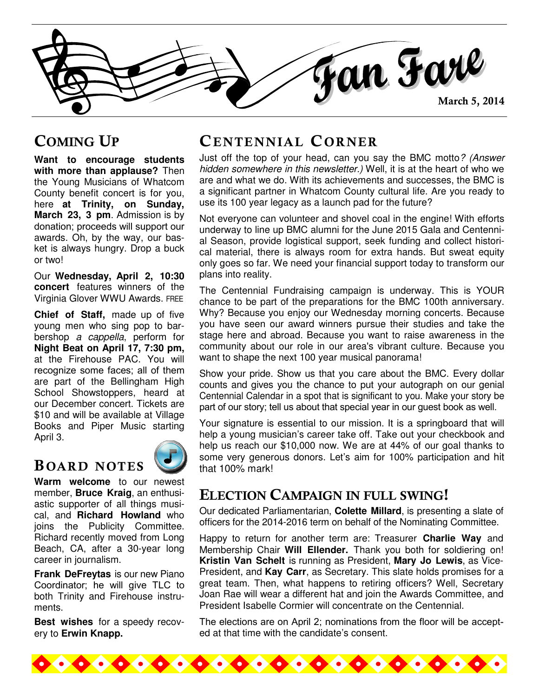Fan Fare

## COMING UP

**Want to encourage students with more than applause?** Then the Young Musicians of Whatcom County benefit concert is for you, here **at Trinity, on Sunday, March 23, 3 pm**. Admission is by donation; proceeds will support our awards. Oh, by the way, our basket is always hungry. Drop a buck or two!

Our **Wednesday, April 2, 10:30 concert** features winners of the Virginia Glover WWU Awards. FREE

**Chief of Staff,** made up of five young men who sing pop to barbershop a cappella, perform for **Night Beat on April 17, 7:30 pm,**  at the Firehouse PAC. You will recognize some faces; all of them are part of the Bellingham High School Showstoppers, heard at our December concert. Tickets are \$10 and will be available at Village Books and Piper Music starting April 3.

### B OARD NOTES



**Warm welcome** to our newest member, **Bruce Kraig**, an enthusiastic supporter of all things musical, and **Richard Howland** who joins the Publicity Committee. Richard recently moved from Long Beach, CA, after a 30-year long career in journalism.

**Frank DeFreytas** is our new Piano Coordinator; he will give TLC to both Trinity and Firehouse instruments.

**Best wishes** for a speedy recovery to **Erwin Knapp.**

## CENTENNIAL CORNER

Just off the top of your head, can you say the BMC motto? (Answer hidden somewhere in this newsletter.) Well, it is at the heart of who we are and what we do. With its achievements and successes, the BMC is a significant partner in Whatcom County cultural life. Are you ready to use its 100 year legacy as a launch pad for the future?

Not everyone can volunteer and shovel coal in the engine! With efforts underway to line up BMC alumni for the June 2015 Gala and Centennial Season, provide logistical support, seek funding and collect historical material, there is always room for extra hands. But sweat equity only goes so far. We need your financial support today to transform our plans into reality.

The Centennial Fundraising campaign is underway. This is YOUR chance to be part of the preparations for the BMC 100th anniversary. Why? Because you enjoy our Wednesday morning concerts. Because you have seen our award winners pursue their studies and take the stage here and abroad. Because you want to raise awareness in the community about our role in our area's vibrant culture. Because you want to shape the next 100 year musical panorama!

Show your pride. Show us that you care about the BMC. Every dollar counts and gives you the chance to put your autograph on our genial Centennial Calendar in a spot that is significant to you. Make your story be part of our story; tell us about that special year in our guest book as well.

Your signature is essential to our mission. It is a springboard that will help a young musician's career take off. Take out your checkbook and help us reach our \$10,000 now. We are at 44% of our goal thanks to some very generous donors. Let's aim for 100% participation and hit that 100% mark!

## ELECTION CAMPAIGN IN FULL SWING!

Our dedicated Parliamentarian, **Colette Millard**, is presenting a slate of officers for the 2014-2016 term on behalf of the Nominating Committee.

Happy to return for another term are: Treasurer **Charlie Way** and Membership Chair **Will Ellender.** Thank you both for soldiering on! **Kristin Van Schelt** is running as President, **Mary Jo Lewis**, as Vice-President, and **Kay Carr**, as Secretary. This slate holds promises for a great team. Then, what happens to retiring officers? Well, Secretary Joan Rae will wear a different hat and join the Awards Committee, and President Isabelle Cormier will concentrate on the Centennial.

The elections are on April 2; nominations from the floor will be accepted at that time with the candidate's consent.

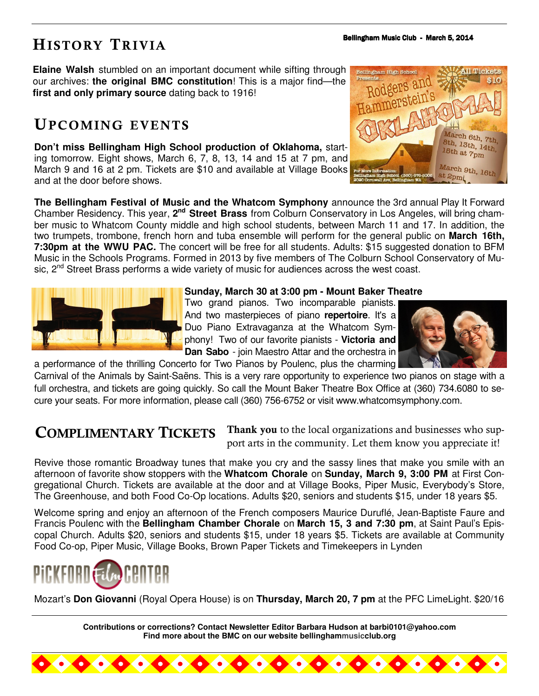# HISTORY TRIVIA

**Elaine Walsh** stumbled on an important document while sifting through our archives: **the original BMC constitution**! This is a major find—the **first and only primary source** dating back to 1916!

## UPCOMING EVENTS

**Don't miss Bellingham High School production of Oklahoma,** starting tomorrow. Eight shows, March 6, 7, 8, 13, 14 and 15 at 7 pm, and March 9 and 16 at 2 pm. Tickets are \$10 and available at Village Books and at the door before shows.



**The Bellingham Festival of Music and the Whatcom Symphony** announce the 3rd annual Play It Forward Chamber Residency. This year, 2<sup>nd</sup> Street Brass from Colburn Conservatory in Los Angeles, will bring chamber music to Whatcom County middle and high school students, between March 11 and 17. In addition, the two trumpets, trombone, french horn and tuba ensemble will perform for the general public on **March 16th, 7:30pm at the WWU PAC.** The concert will be free for all students. Adults: \$15 suggested donation to BFM Music in the Schools Programs. Formed in 2013 by five members of The Colburn School Conservatory of Music. 2<sup>nd</sup> Street Brass performs a wide variety of music for audiences across the west coast.



#### **Sunday, March 30 at 3:00 pm - Mount Baker Theatre**

Two grand pianos. Two incomparable pianists. And two masterpieces of piano **repertoire**. It's a Duo Piano Extravaganza at the Whatcom Symphony! Two of our favorite pianists - **Victoria and Dan Sabo** - join Maestro Attar and the orchestra in



Carnival of the Animals by Saint-Saëns. This is a very rare opportunity to experience two pianos on stage with a full orchestra, and tickets are going quickly. So call the Mount Baker Theatre Box Office at (360) 734.6080 to secure your seats. For more information, please call (360) 756-6752 or visit www.whatcomsymphony.com.

a performance of the thrilling Concerto for Two Pianos by Poulenc, plus the charming

## COMPLIMENTARY TICKETS

Thank you to the local organizations and businesses who support arts in the community. Let them know you appreciate it!

Revive those romantic Broadway tunes that make you cry and the sassy lines that make you smile with an afternoon of favorite show stoppers with the **Whatcom Chorale** on **Sunday, March 9, 3:00 PM** at First Congregational Church. Tickets are available at the door and at Village Books, Piper Music, Everybody's Store, The Greenhouse, and both Food Co-Op locations. Adults \$20, seniors and students \$15, under 18 years \$5.

Welcome spring and enjoy an afternoon of the French composers Maurice Duruflé, Jean-Baptiste Faure and Francis Poulenc with the **Bellingham Chamber Chorale** on **March 15, 3 and 7:30 pm**, at Saint Paul's Episcopal Church. Adults \$20, seniors and students \$15, under 18 years \$5. Tickets are available at Community Food Co-op, Piper Music, Village Books, Brown Paper Tickets and Timekeepers in Lynden



Mozart's **Don Giovanni** (Royal Opera House) is on **Thursday, March 20, 7 pm** at the PFC LimeLight. \$20/16

**Contributions or corrections? Contact Newsletter Editor Barbara Hudson at barbi0101@yahoo.com Find more about the BMC on our website bellinghammusicclub.org**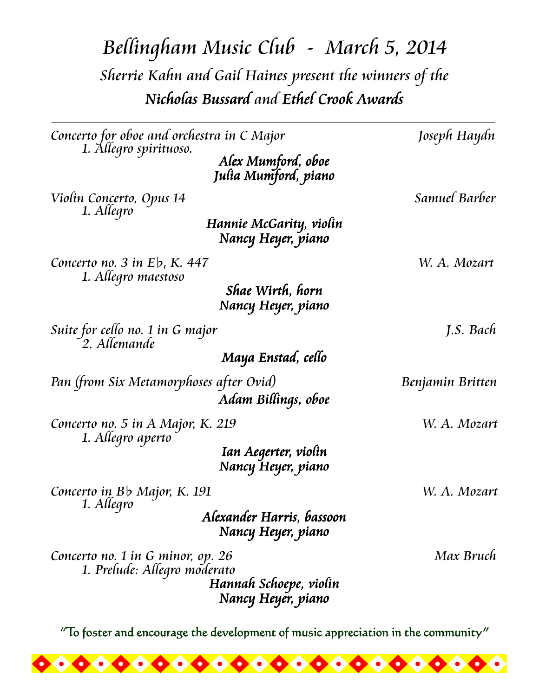Bellingham Music Club - March 5, 2014 Sherrie Kahn and Gail Haines present the winners of the Nicholas Bussard and Ethel Crook Awards

| Concerto for oboe and orchestra in C Major                        |                                                 | Joseph Haydn     |
|-------------------------------------------------------------------|-------------------------------------------------|------------------|
| 1. Allegro spirituoso.                                            | Alex Mumford, oboe<br>Julia Mumford, piano      |                  |
| Violin Concerto, Opus 14<br>1. Allegro                            |                                                 | Samuel Barber    |
|                                                                   | Hannie McGarity, violin<br>Nancy Heyer, piano   |                  |
| Concerto no. $3$ in $E\flat$ , K. 447<br>1. Allegro maestoso      |                                                 | W. A. Mozart     |
|                                                                   | Shae Wirth, horn<br>Nancy Heyer, piano          |                  |
| Suite for cello no. 1 in G major<br>2. Allemande                  |                                                 | J.S. Bach        |
|                                                                   | Maya Enstad, cello                              |                  |
| Pan (from Six Metamorphoses after Ovid)                           | Adam Billings, oboe                             | Benjamin Britten |
| Concerto no. 5 in A Major, K. 219<br>1. Allegro aperto            |                                                 | W. A. Mozart     |
|                                                                   | Ian Aegerter, violin<br>Nancy Heyer, piano      |                  |
| Concerto in Bb Major, K. 191<br>1. Allegro                        |                                                 | W. A. Mozart     |
|                                                                   | Alexander Harris, bassoon<br>Nancy Heyer, piano |                  |
| Concerto no. 1 in G minor, op. 26<br>1. Prelude: Allegro moderato | Hannah Schoepe, violin<br>Nancy Heyer, piano    | Max Bruch        |

"To foster and encourage the development of music appreciation in the community"